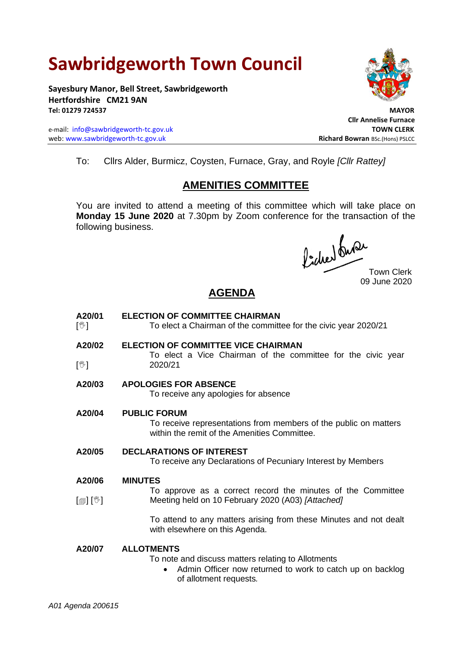# **Sawbridgeworth Town Council**

**Sayesbury Manor, Bell Street, Sawbridgeworth Hertfordshire CM21 9AN Tel: 01279 724537 MAYOR**

e-mail: [info@sawbridgeworth-tc.gov.uk](mailto:info@sawbridgeworth-tc.gov.uk) **TOWN CLERK** web: www.sawbridgeworth-tc.gov.uk<br> **Richard Bowran** BSc.(Hons) PSLCC



 **Cllr Annelise Furnace**

To: Cllrs Alder, Burmicz, Coysten, Furnace, Gray, and Royle *[Cllr Rattey]*

# **AMENITIES COMMITTEE**

You are invited to attend a meeting of this committee which will take place on **Monday 15 June 2020** at 7.30pm by Zoom conference for the transaction of the following business.

Picked Que

Town Clerk 09 June 2020

## **AGENDA**

- **A20/01**  $\mathbb{N}$ **ELECTION OF COMMITTEE CHAIRMAN**  To elect a Chairman of the committee for the civic year 2020/21
- **A20/02**  $\mathbb{N}$ **ELECTION OF COMMITTEE VICE CHAIRMAN** To elect a Vice Chairman of the committee for the civic year 2020/21

### **A20/03 APOLOGIES FOR ABSENCE**

To receive any apologies for absence

**A20/04 PUBLIC FORUM**

To receive representations from members of the public on matters within the remit of the Amenities Committee.

**A20/05 DECLARATIONS OF INTEREST**

To receive any Declarations of Pecuniary Interest by Members

#### **A20/06 MINUTES**

 $\lceil$  [ $\mathbb{I}$ ]  $\lceil \mathbb{V} \rceil$ To approve as a correct record the minutes of the Committee Meeting held on 10 February 2020 (A03) *[Attached]*

> To attend to any matters arising from these Minutes and not dealt with elsewhere on this Agenda.

#### **A20/07 ALLOTMENTS**

To note and discuss matters relating to Allotments

Admin Officer now returned to work to catch up on backlog of allotment requests*.*